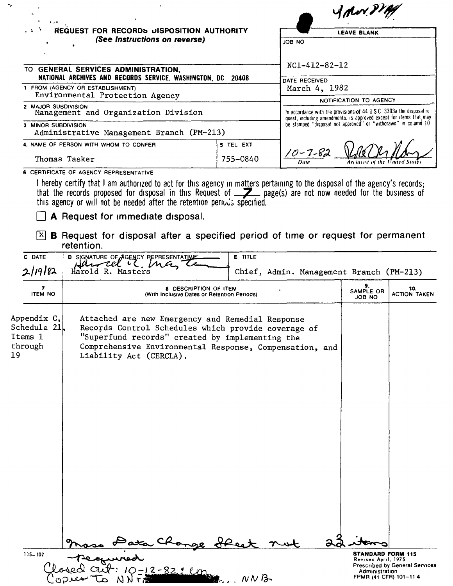|                                                        |                                                                                                                                                                                                                                                                                                                                             |           |                                                                                                                                      | ydor?                     |                            |  |  |
|--------------------------------------------------------|---------------------------------------------------------------------------------------------------------------------------------------------------------------------------------------------------------------------------------------------------------------------------------------------------------------------------------------------|-----------|--------------------------------------------------------------------------------------------------------------------------------------|---------------------------|----------------------------|--|--|
|                                                        | <b>REQUEST FOR RECORDS DISPOSITION AUTHORITY</b>                                                                                                                                                                                                                                                                                            |           |                                                                                                                                      | <b>LEAVE BLANK</b>        |                            |  |  |
|                                                        | (See Instructions on reverse)                                                                                                                                                                                                                                                                                                               |           | JOB NO                                                                                                                               |                           |                            |  |  |
|                                                        |                                                                                                                                                                                                                                                                                                                                             |           |                                                                                                                                      |                           |                            |  |  |
|                                                        | TO GENERAL SERVICES ADMINISTRATION,                                                                                                                                                                                                                                                                                                         |           | NC1-412-82-12                                                                                                                        |                           |                            |  |  |
|                                                        | NATIONAL ARCHIVES AND RECORDS SERVICE, WASHINGTON, DC<br>20408<br>DATE RECEIVED<br>1 FROM (AGENCY OR ESTABLISHMENT)<br>March 4, 1982<br>Environmental Protection Agency                                                                                                                                                                     |           |                                                                                                                                      |                           |                            |  |  |
| 2 MAJOR SUBDIVISION                                    | Management and Organization Division                                                                                                                                                                                                                                                                                                        |           | In accordance with the provisions of 44 U.S.C. 3303a the disposal re-                                                                | NOTIFICATION TO AGENCY    |                            |  |  |
| 3 MINOR SUBDIVISION                                    | Administrative Management Branch (PM-213)                                                                                                                                                                                                                                                                                                   |           | quest, including amendments, is approved except for items that may<br>be stamped "disposal not approved" or "withdrawn" in column 10 |                           |                            |  |  |
|                                                        | 4. NAME OF PERSON WITH WHOM TO CONFER                                                                                                                                                                                                                                                                                                       | 5 TEL EXT |                                                                                                                                      |                           |                            |  |  |
|                                                        | Thomas Tasker                                                                                                                                                                                                                                                                                                                               | 755-0840  | 10 - 7 - 8:                                                                                                                          |                           |                            |  |  |
| $ {\bf x} $                                            | that the records proposed for disposal in this Request of <b>Z</b> page(s) are not now needed for the business of<br>this agency or will not be needed after the retention periods specified.<br>A Request for immediate disposal.<br><b>B</b> Request for disposal after a specified period of time or request for permanent<br>retention. |           |                                                                                                                                      |                           |                            |  |  |
| C DATE<br>2/19/82                                      | D SIGNATURE OF AGENCY REPRESENTATIVE<br>Harrel is man<br>Harold R. Masters                                                                                                                                                                                                                                                                  | E TITLE   | Chief, Admin. Management Branch (PM-213)                                                                                             |                           |                            |  |  |
| 7<br><b>ITEM NO</b>                                    | <b>8 DESCRIPTION OF ITEM</b><br>(With Inclusive Dates or Retention Periods)                                                                                                                                                                                                                                                                 |           |                                                                                                                                      | 9.<br>SAMPLE OR<br>JOB NO | 10.<br><b>ACTION TAKEN</b> |  |  |
| Appendix C,<br>Schedule 21<br>Items 1<br>through<br>19 | Attached are new Emergency and Remedial Response<br>Records Control Schedules which provide coverage of<br>"Superfund records" created by implementing the<br>Comprehensive Environmental Response, Compensation, and<br>Liability Act (CERCLA).                                                                                            |           | а                                                                                                                                    |                           |                            |  |  |
| 115-107                                                | pecured<br>Losed aut: 10-12-82: em                                                                                                                                                                                                                                                                                                          |           |                                                                                                                                      | <b>STANDARD FORM 115</b>  |                            |  |  |

-.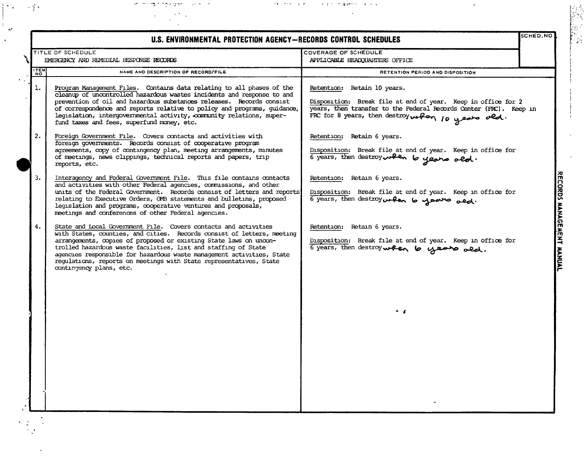| $\rightarrow$ 7 $\rightarrow$ | التعاون المعاطير وحا<br>and the engineering spage of the condition                                                                                                                                                                                                                                                                                                                                                                                         | <b>CONTRACTOR SERVICE SERVICE</b>                                                                                                                                                                                    |          |
|-------------------------------|------------------------------------------------------------------------------------------------------------------------------------------------------------------------------------------------------------------------------------------------------------------------------------------------------------------------------------------------------------------------------------------------------------------------------------------------------------|----------------------------------------------------------------------------------------------------------------------------------------------------------------------------------------------------------------------|----------|
|                               | U.S. ENVIRONMENTAL PROTECTION AGENCY-RECORDS CONTROL SCHEDULES                                                                                                                                                                                                                                                                                                                                                                                             |                                                                                                                                                                                                                      | SCHED.NO |
|                               | TITLE OF SCHEDULE<br>EMERGENCY AND REMEDIAL RESPONSE RECORDS                                                                                                                                                                                                                                                                                                                                                                                               | COVERAGE OF SCHEDULE<br>APPLICABLE HEADQUARTERS OFFICE                                                                                                                                                               |          |
| <b>ZEM</b>                    | NAME AND DESCRIPTION OF RECORD/FILE                                                                                                                                                                                                                                                                                                                                                                                                                        | RETENTION PERIOD AND DISPOSITION                                                                                                                                                                                     |          |
| $\mathbf{1}$ .                | Program Management Files. Contains data relating to all phases of the<br>cleanup of uncontrolled hazardous wastes incidents and response to and<br>prevention of oil and hazardous substances releases. Records consist<br>of correspondence and reports relative to policy and programs, guidance,<br>legislation, intergovernmental activity, community relations, super-<br>fund taxes and fees, superfund money, etc.                                  | Retention: Retain 10 years.<br>Disposition: Break file at end of year. Keep in office for 2<br>years, then transfer to the Federal Records Center (FRC). Keep in<br>FRC for 8 years, then destroy when 10 years old. |          |
| 2.                            | Foreign Government File. Covers contacts and activities with<br>foreign governments. Records consist of cooperative program<br>agreements, copy of contingency plan, meeting arrangements, minutes<br>of meetings, news clippings, technical reports and papers, trip<br>reports, etc.                                                                                                                                                                     | Retention: Retain 6 years.<br>Disposition: Break file at end of year. Keep in office for<br>6 years, then destroyed the years ald.                                                                                   |          |
| 3.                            | Interagency and Federal Government File. This file contains contacts<br>and activities with other Federal agencies, commissions, and other<br>units of the Federal Government. Records consist of letters and reports<br>relating to Executive Orders, OMB statements and bulletins, proposed<br>legislation and programs, cooperative ventures and proposals,<br>meetings and conferences of other Federal agencies.                                      | Retention: Retain 6 years.<br>Disposition: Break file at end of year. Keep in office for<br>6 years, then destroy when 6 years and.                                                                                  |          |
| 4.                            | State and Local Government File. Covers contacts and activities<br>with States, counties, and cities. Records consist of letters, meeting<br>arrangements, copies of proposed or existing State laws on uncon-<br>trolled hazardous waste facilities, list and staffing of State<br>agencies responsible for hazardous waste management activities, State<br>regulations, reports on meetings with State representatives, State<br>contingency plans, etc. | Retention: Retain 6 years.<br>Disposition: Break file at end of year. Keep in office for<br>6 years, then destroy when to years ald.<br>$\sim$ $\epsilon$                                                            |          |

 $\mathbb{F}_\mathcal{F}$  .

 $\mathbf{r}^{\prime}$ 

٦

 $\mathcal{C}$ 

 $\ddot{\cdot}$  $\frac{1}{2}$ 

 $\lambda$ 

RECORDS MANAGEMENT MANUAL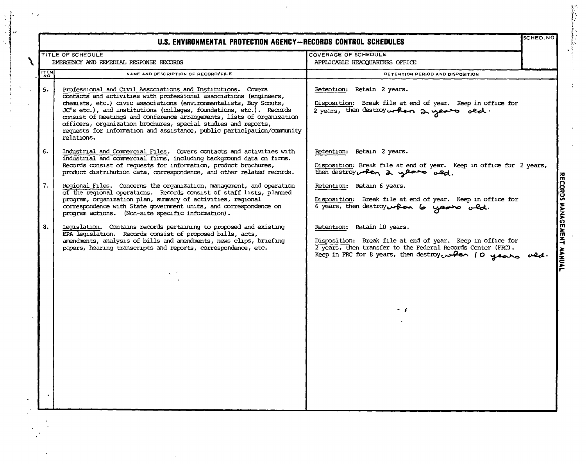|             | U.S. ENVIRONMENTAL PROTECTION AGENCY-RECORDS CONTROL SCHEDULES                                                                                                                                                                                                                                                                                                                                                                                                                                                       |                                                                                                                                                                                                                      | SCHED.NO |
|-------------|----------------------------------------------------------------------------------------------------------------------------------------------------------------------------------------------------------------------------------------------------------------------------------------------------------------------------------------------------------------------------------------------------------------------------------------------------------------------------------------------------------------------|----------------------------------------------------------------------------------------------------------------------------------------------------------------------------------------------------------------------|----------|
|             | TITLE OF SCHEDULE                                                                                                                                                                                                                                                                                                                                                                                                                                                                                                    | COVERAGE OF SCHEDULE                                                                                                                                                                                                 |          |
|             | EMERGENCY AND REMEDIAL RESPONSE RECORDS                                                                                                                                                                                                                                                                                                                                                                                                                                                                              | APPLICABLE HEADQUARTERS OFFICE                                                                                                                                                                                       |          |
| <b>ITEM</b> | NAME AND DESCRIPTION OF RECORD/FILE                                                                                                                                                                                                                                                                                                                                                                                                                                                                                  | RETENTION PERIOD AND DISPOSITION                                                                                                                                                                                     |          |
| 5.          | Professional and Civil Associations and Institutions. Covers<br>contacts and activities with professional associations (engineers,<br>chemists, etc.) civic associations (environmentalists, Boy Scouts,<br>JC's etc.), and institutions (colleges, foundations, etc.). Records<br>consist of meetings and conference arrangements, lists of organization<br>officers, organization brochures, special studies and reports,<br>requests for information and assistance, public participation/community<br>relations. | Retention: Retain 2 years.<br>Disposition: Break file at end of year. Keep in office for<br>2 years, then destroy when 2 years old.                                                                                  |          |
| 6.          | Industrial and Commercial Files. Covers contacts and activities with<br>industrial and commercial firms, including background data on firms.<br>Records consist of requests for information, product brochures,<br>product distribution data, correspondence, and other related records.                                                                                                                                                                                                                             | Retention: Retain 2 years.<br>Disposition: Break file at end of year. Keep in office for 2 years,<br>then destroy when 2 years old.                                                                                  |          |
| 7.          | Regional Files. Concerns the organization, management, and operation<br>of the regional operations. Records consist of staff lists, planned<br>program, organization plan, summary of activities, regional<br>correspondence with State government units, and correspondence on<br>program actions. (Non-site specific information).                                                                                                                                                                                 | Retention: Retain 6 years.<br>Disposition: Break file at end of year. Keep in office for<br>6 years, then destroy when 6 years old.                                                                                  |          |
| 8.          | Legislation. Contains records pertaining to proposed and existing<br>EPA legislation. Records consist of proposed bills, acts,<br>amendments, analysis of bills and amendments, news clips, briefing<br>papers, hearing transcripts and reports, correspondence, etc.                                                                                                                                                                                                                                                | Retention: Retain 10 years.<br>Disposition: Break file at end of year. Keep in office for<br>2 years, then transfer to the Federal Records Center (FRC).<br>Keep in FRC for 8 years, then destroy when 10 years ald. |          |
|             |                                                                                                                                                                                                                                                                                                                                                                                                                                                                                                                      |                                                                                                                                                                                                                      |          |
|             |                                                                                                                                                                                                                                                                                                                                                                                                                                                                                                                      | . .                                                                                                                                                                                                                  |          |
|             |                                                                                                                                                                                                                                                                                                                                                                                                                                                                                                                      |                                                                                                                                                                                                                      |          |
|             |                                                                                                                                                                                                                                                                                                                                                                                                                                                                                                                      |                                                                                                                                                                                                                      |          |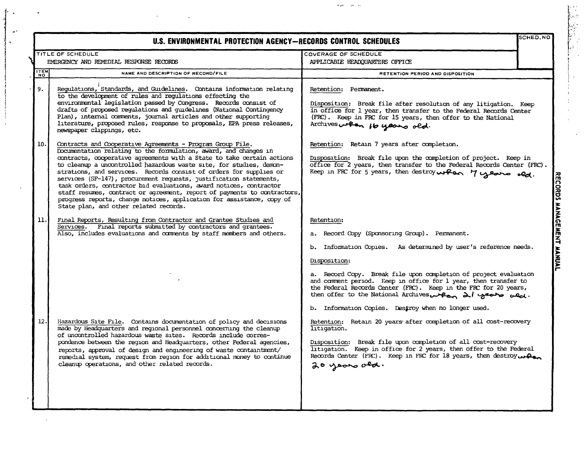|             | SCHED.NO<br>U.S. ENVIRONMENTAL PROTECTION AGENCY-RECORDS CONTROL SCHEDULES                                                                                                                                                                                                                                                                                                                                                                                                                                                                                                                                                                                                                       |                                                                                                                                                                                                                                                                                                                                                                                                                                                                                                                                                                                                                                                        |  |
|-------------|--------------------------------------------------------------------------------------------------------------------------------------------------------------------------------------------------------------------------------------------------------------------------------------------------------------------------------------------------------------------------------------------------------------------------------------------------------------------------------------------------------------------------------------------------------------------------------------------------------------------------------------------------------------------------------------------------|--------------------------------------------------------------------------------------------------------------------------------------------------------------------------------------------------------------------------------------------------------------------------------------------------------------------------------------------------------------------------------------------------------------------------------------------------------------------------------------------------------------------------------------------------------------------------------------------------------------------------------------------------------|--|
|             | TITLE OF SCHEDULE                                                                                                                                                                                                                                                                                                                                                                                                                                                                                                                                                                                                                                                                                | COVERAGE OF SCHEDULE                                                                                                                                                                                                                                                                                                                                                                                                                                                                                                                                                                                                                                   |  |
|             | EMERGENCY AND REMEDIAL RESPONSE RECORDS                                                                                                                                                                                                                                                                                                                                                                                                                                                                                                                                                                                                                                                          | APPLICABLE HEADQUARTERS OFFICE                                                                                                                                                                                                                                                                                                                                                                                                                                                                                                                                                                                                                         |  |
| <b>ITEM</b> | NAME AND DESCRIPTION OF RECORD/FILE                                                                                                                                                                                                                                                                                                                                                                                                                                                                                                                                                                                                                                                              | RETENTION PERIOD AND DISPOSITION                                                                                                                                                                                                                                                                                                                                                                                                                                                                                                                                                                                                                       |  |
| 9.          | Regulations, Standards, and Guidelines. Contains information relating<br>to the development of rules and regulations effecting the<br>environmental legislation passed by Congress. Records consist of<br>drafts of proposed regulations and guidelines (National Contingency<br>Plan), internal comments, journal articles and other supporting<br>literature, proposed rules, response to proposals, EPA press releases,<br>newspaper clippings, etc.                                                                                                                                                                                                                                          | Retention: Permanent.<br>Disposition: Break file after resolution of any litigation. Keep<br>in office for 1 year, then transfer to the Federal Records Center<br>(FRC). Keep in FRC for 15 years, then offer to the National<br>Archives when 16 years old.                                                                                                                                                                                                                                                                                                                                                                                           |  |
| 10.         | Contracts and Cooperative Agreements - Program Group File.<br>Documentation relating to the formulation, award, and changes in<br>contracts, cooperative agreements with a State to take certain actions<br>to cleanup a uncontrolled hazardous waste site, for studies, demon-<br>strations, and services. Records consist of orders for supplies or<br>services (SF-147), procurement requests, justification statements,<br>task orders, contractor bid evaluations, award notices, contractor<br>staff resumes, contract or agreement, report of payments to contractors,<br>progress reports, change notices, application for assistance, copy of<br>State plan, and other related records. | Retention: Retain 7 years after completion.<br>Disposition: Break file upon the completion of project. Keep in<br>office for 2 years, then transfer to the Federal Records Center (FRC).<br>Reep in FRC for 5 years, then destroy when 7 years old.                                                                                                                                                                                                                                                                                                                                                                                                    |  |
| 11.         | Final Reports, Resulting from Contractor and Grantee Studies and<br>Services. Final reports submitted by contractors and grantees.<br>Also, includes evaluations and comments by staff members and others.                                                                                                                                                                                                                                                                                                                                                                                                                                                                                       | Retention:<br>a. Record Copy (Sponsoring Group). Permanent.<br>b. Information Copies. As determined by user's reference needs.                                                                                                                                                                                                                                                                                                                                                                                                                                                                                                                         |  |
| 12.         | Hazardous Site File. Contains documentation of policy and decisions<br>made by Headquarters and regional personnel concerning the cleanup<br>of uncontrolled hazardous waste sites. Records include corres-<br>pondence between the region and Headquarters, other Federal agencies,<br>reports, approval of design and engineering of waste containtment/<br>remedial system, request from region for additional money to continue<br>cleanup operations, and other related records.                                                                                                                                                                                                            | Disposition:<br>a. Record Copy. Break file upon completion of project evaluation<br>and comment period. Keep in office for 1 year, then transfer to<br>the Federal Records Center (FRC). Keep in the FRC for 20 years,<br>then offer to the National Archives when all years wed.<br>b. Information Copies. Destroy when no longer used.<br>Retention: Retain 20 years after completion of all cost-recovery<br>litigation.<br>Disposition: Break file upon completion of all cost-recovery<br>litigation. Keep in office for 2 years, then offer to the Federal<br>Records Center (FRC). Keep in FRC for 18 years, then destroy when<br>20 years ald. |  |

 $\mathcal{A}$ 

 $\star$  .

 $\chi$ 

 $\sim$ 

 $\alpha$ 

 $\mathcal{A}^{\mathcal{A}}$ 

 $\hat{A}$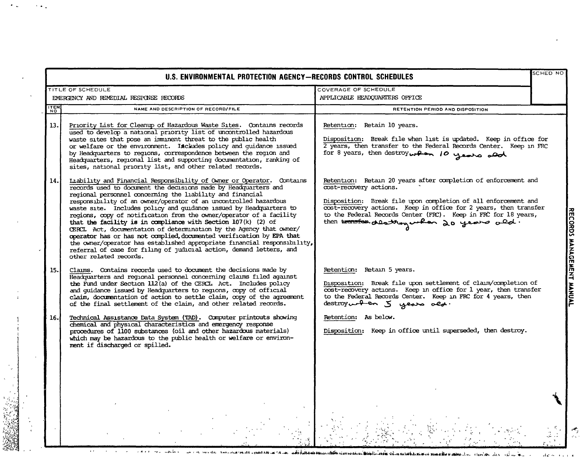|             | U.S. ENVIRONMENTAL PROTECTION AGENCY-RECORDS CONTROL SCHEDULES                                                                                                                                                                                                                                                                                                                                                                                                                                                                                                                                                                                                                                                                                                                                                       |                                                                                                                                                                                                                                                                                                                                              | SCHED NO                |
|-------------|----------------------------------------------------------------------------------------------------------------------------------------------------------------------------------------------------------------------------------------------------------------------------------------------------------------------------------------------------------------------------------------------------------------------------------------------------------------------------------------------------------------------------------------------------------------------------------------------------------------------------------------------------------------------------------------------------------------------------------------------------------------------------------------------------------------------|----------------------------------------------------------------------------------------------------------------------------------------------------------------------------------------------------------------------------------------------------------------------------------------------------------------------------------------------|-------------------------|
|             | TITLE OF SCHEDULE<br>EMERGENCY AND REMEDIAL RESPONSE RECORDS                                                                                                                                                                                                                                                                                                                                                                                                                                                                                                                                                                                                                                                                                                                                                         | COVERAGE OF SCHEDULE<br>APPLICABLE HEADQUARTERS OFFICE                                                                                                                                                                                                                                                                                       |                         |
| <b>ITEM</b> | NAME AND DESCRIPTION OF RECORD/FILE                                                                                                                                                                                                                                                                                                                                                                                                                                                                                                                                                                                                                                                                                                                                                                                  | RETENTION PERIOD AND DISPOSITION                                                                                                                                                                                                                                                                                                             |                         |
| 13.         | Priority List for Cleanup of Hazardous Waste Sites. Contains records<br>used to develop a national priority list of uncontrolled hazardous<br>waste sites that pose an imminent threat to the public health<br>or welfare or the environment. Includes policy and guidance issued<br>by Headquarters to regions, correspondence between the region and<br>Headquarters, regional list and supporting documentation, ranking of<br>sites, national priority list, and other related records.                                                                                                                                                                                                                                                                                                                          | Retention: Retain 10 years.<br>Disposition: Break file when list is updated. Keep in office for<br>2 years, then transfer to the Federal Records Center. Keep in FRC<br>for 8 years, then destroy when 10 years and                                                                                                                          |                         |
| 14.         | Laability and Financial Responsibility of Owner or Operator. Contains<br>records used to document the decisions made by Headquarters and<br>regional personnel concerning the liability and financial<br>responsibility of an owner/operator of an uncontrolled hazardous<br>waste site. Includes policy and guidance issued by Headquarters to<br>regions, copy of notification from the owner/operator of a facility<br>that the facility is in compliance with Section 107(k) (2) of<br>CERCL Act, documentation of determination by the Agency that owner/<br>operator has or has not complied, documented verification by EPA that<br>the owner/operator has established appropriate financial responsibility,<br>referral of case for filing of judicial action, demand letters, and<br>other related records. | Retention: Retain 20 years after completion of enforcement and<br>cost-recovery actions.<br>Disposition: Break file upon completion of all enforcement and<br>cost-recovery actions. Keep in office for 2 years, then transfer<br>to the Federal Records Center (FRC). Keep in FRC for 18 years,<br>then transfer destroyenton 20 years ald. | RECORDS MANAGENT MANUAL |
| 15.         | Claims. Contains records used to document the decisions made by<br>Headquarters and regional personnel concerning claims filed against<br>the Fund under Section 112(a) of the CERCL Act. Includes policy<br>and quidance issued by Headquarters to regions, copy of official<br>claim, documentation of action to settle claim, copy of the agreement<br>of the final settlement of the claim, and other related records.                                                                                                                                                                                                                                                                                                                                                                                           | Retention: Retain 5 years.<br>Disposition: Break file upon settlement of claim/completion of<br>cost-recovery actions. Keep in office for 1 year, then transfer<br>to the Federal Records Center. Keep in FRC for 4 years, then<br>destroymounder 5 years ald.                                                                               |                         |
| 16.         | Technical Assistance Data System (TAD). Computer printouts showing<br>chemical and physical characteristics and emergency response<br>procedures of 1100 substances (oil and other hazardous materials)<br>which may be hazardous to the public health or welfare or environ-<br>ment if discharged or spilled.                                                                                                                                                                                                                                                                                                                                                                                                                                                                                                      | Retention: As below.<br>Disposition: Keep in office until superseded, then destroy.                                                                                                                                                                                                                                                          |                         |
|             |                                                                                                                                                                                                                                                                                                                                                                                                                                                                                                                                                                                                                                                                                                                                                                                                                      |                                                                                                                                                                                                                                                                                                                                              |                         |

 $\sim$   $\sim$   $\sim$ 

 $\hat{\gamma}_\mu$  $\bar{\star}$ 

 $\bullet$   $\bullet$ 

 $\overline{a}$ 

 $\ddot{\phantom{1}}$ 

 $\sim$ 

े पु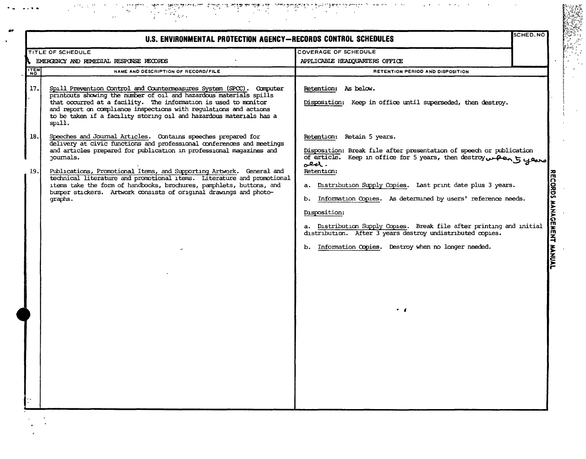$\begin{split} \mathcal{F}^{(1)}_{\text{max}} & = \frac{1}{2} \sum_{\substack{ \text{with } \mathcal{G} \in \mathcal{G}(\mathcal{G}) \\ \text{with } \mathcal{G} \in \mathcal{G}(\mathcal{G})}} \mathcal{F}^{(1)}_{\text{max}} & = \frac{1}{2} \sum_{\substack{ \text{with } \mathcal{G} \in \mathcal{G}(\mathcal{G}) \\ \text{with } \mathcal{G} \in \mathcal{G}(\mathcal{G})}} \mathcal{F}^{(2)}_{\text{max}} & = \frac{1}{2} \sum_{\substack{ \text{with } \mathcal{G} \in \math$ المساحيات المتعاقل وينافي بالمائية والمتكافر المساحية المستوى المتحدث المتحدث المستوى المستوى المستوى المستوى<br>والمستوى المستوى وينافي المستوى المستوى المستوى  $\mathcal{O}(\sqrt{2})$ 72  $\mathbf{r}$ 

1952年<br>1950年<br>1950年

678.,

 $\chi$  $\bar{\nu}$ 

|      | U.S. ENVIRONMENTAL PROTECTION AGENCY-RECORDS CONTROL SCHEDULES                                                                                                                                                                                                                                                                                                      |                                                                                                                                                                                                                                                                                                                                                                       | SCHED.NO                  |
|------|---------------------------------------------------------------------------------------------------------------------------------------------------------------------------------------------------------------------------------------------------------------------------------------------------------------------------------------------------------------------|-----------------------------------------------------------------------------------------------------------------------------------------------------------------------------------------------------------------------------------------------------------------------------------------------------------------------------------------------------------------------|---------------------------|
|      | TITLE OF SCHEDULE                                                                                                                                                                                                                                                                                                                                                   | COVERAGE OF SCHEDULE                                                                                                                                                                                                                                                                                                                                                  |                           |
|      | EMERGENCY AND REMEDIAL RESPONSE RECORDS                                                                                                                                                                                                                                                                                                                             | APPLICABLE HEADQUARTERS OFFICE                                                                                                                                                                                                                                                                                                                                        |                           |
| ITEM | NAME AND DESCRIPTION OF RECORD/FILE                                                                                                                                                                                                                                                                                                                                 | RETENTION PERIOD AND DISPOSITION                                                                                                                                                                                                                                                                                                                                      |                           |
| 17.  | Spill Prevention Control and Countermeasures System (SPCC). Computer<br>printouts showing the number of oil and hazardous materials spills<br>that occurred at a facility. The information is used to monitor<br>and report on compliance inspections with regulations and actions<br>to be taken if a facility storing oil and hazardous materials has a<br>spill. | Retention: As below.<br>Disposition: Keep in office until superseded, then destroy.                                                                                                                                                                                                                                                                                   |                           |
| 18.  | Speeches and Journal Articles. Contains speeches prepared for<br>delivery at civic functions and professional conferences and meetings<br>and articles prepared for publication in professional magazines and<br>journals.                                                                                                                                          | Retention: Retain 5 years.<br>Disposition: Break file after presentation of speech or publication<br>of article. Keep in office for 5 years, then destroy writers to years<br>معقد .                                                                                                                                                                                  |                           |
| 19.  | Publications, Promotional Items, and Supporting Artwork. General and<br>technical literature and promotional items. Literature and promotional<br>items take the form of handbooks, brochures, pamphlets, buttons, and<br>bumper stickers. Artwork consists of original drawings and photo-<br>graphs.                                                              | Retention:<br>a. Distribution Supply Copies. Last print date plus 3 years.<br>Information Oppies. As determined by users' reference needs.<br>b.<br>Disposition:<br>a. Distribution Supply Copies. Break file after printing and initial<br>distribution. After 3 years destroy undistributed copies.<br>b. Information Copies. Destroy when no longer needed.<br>. . | RECORDS MANAGEMENT MANUAL |
|      |                                                                                                                                                                                                                                                                                                                                                                     |                                                                                                                                                                                                                                                                                                                                                                       |                           |